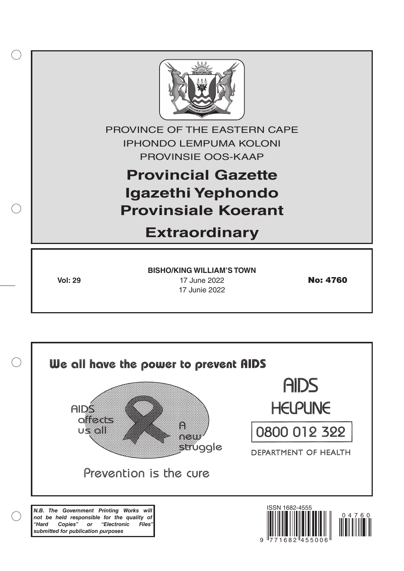

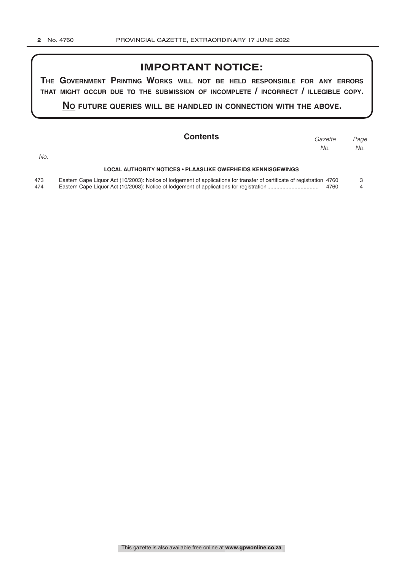# **IMPORTANT NOTICE:**

**The GovernmenT PrinTinG Works Will noT be held resPonsible for any errors ThaT miGhT occur due To The submission of incomPleTe / incorrecT / illeGible coPy.**

**no fuTure queries Will be handled in connecTion WiTh The above.**

| No.        | <b>Contents</b>                                                                                                         | Gazette<br>No. | Page<br>No. |
|------------|-------------------------------------------------------------------------------------------------------------------------|----------------|-------------|
|            | LOCAL AUTHORITY NOTICES • PLAASLIKE OWERHEIDS KENNISGEWINGS                                                             |                |             |
| 473<br>474 | Eastern Cape Liquor Act (10/2003): Notice of lodgement of applications for transfer of certificate of registration 4760 | 4760           | 3           |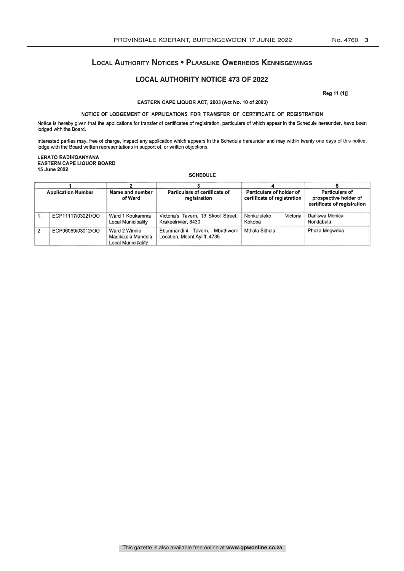## **Local Authority Notices • Plaaslike Owerheids Kennisgewings**

## **LOCAL AUTHORITY NOTICE 473 OF 2022**

Reg 11 (1)]

### EASTERN CAPE LIQUOR ACT, 2003 (Act No. 10 of 2003)

### NOTICE OF LODGEMENT OF APPLICATIONS FOR TRANSFER OF CERTIFICATE OF REGISTRATION

Notice is hereby given that the applications for transfer of certificates of registration, particulars of which appear in the Schedule hereunder, have been lodged with the Board.

Interested parties may, free of charge, inspect any application which appears in the Schedule hereunder and may within twenty one days of this notice, lodge with the Board written representations in support of, or written objections.

#### **LERATO RADIKOANYANA EASTERN CAPE LIQUOR BOARD** 15 June 2022

**SCHEDULE** 

|    | <b>Application Number</b> | Name and number<br>of Ward                                | Particulars of certificate of<br>registration                 | Particulars of holder of<br>certificate of registration | Particulars of<br>prospective holder of<br>certificate of registration |  |
|----|---------------------------|-----------------------------------------------------------|---------------------------------------------------------------|---------------------------------------------------------|------------------------------------------------------------------------|--|
|    | ECP11117/03021/OO         | Ward 1 Koukamma<br>Local Municipality                     | Victoria's Tavern, 13 Skool Street,<br>Krakeelrivier, 6430    | Nonkululeko<br>Victoria<br>Kokoba                       | Daniswa Monica<br>Nondabula                                            |  |
| 2. | ECP06069/03012/OO         | Ward 2 Winnie<br>Madikizela Mandela<br>Local Municipality | Ebumnandini Tavern, Mbuthweni<br>Location, Mount Aviiff, 4735 | Mthala Sithela                                          | Pheza Mngweba                                                          |  |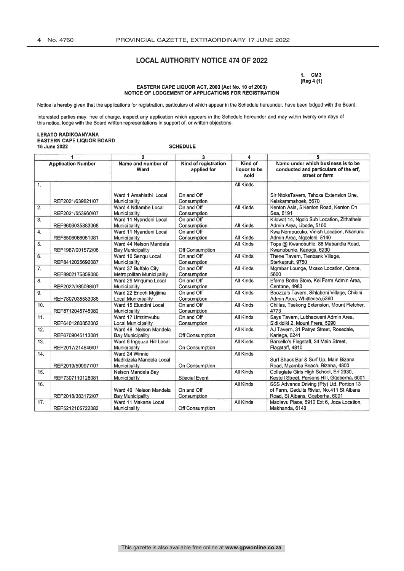# **LOCAL AUTHORITY NOTICE 474 OF 2022**

1.  $CM3$ [Reg 4 (1)

#### EASTERN CAPE LIQUOR ACT, 2003 (Act No. 10 of 2003) NOTICE OF LODGEMENT OF APPLICATIONS FOR REGISTRATION

Notice is hereby given that the applications for registration, particulars of which appear in the Schedule hereunder, have been lodged with the Board.

Interested parties may, free of charge, inspect any application which appears in the Schedule hereunder and may within twenty-one days of<br>this notice, lodge with the Board written representations in support of, or written

#### **LERATO RADIKOANYANA EASTERN CAPE LIQUOR BOARD** 15 June 2022

**SCHEDULE** 

|                           | 1                 | $\overline{2}$                                             | $\overline{\mathbf{3}}$             | 4                               | 5                                                                                                                         |
|---------------------------|-------------------|------------------------------------------------------------|-------------------------------------|---------------------------------|---------------------------------------------------------------------------------------------------------------------------|
| <b>Application Number</b> |                   | Name and number of<br>Ward                                 | Kind of registration<br>applied for | Kind of<br>liquor to be<br>sold | Name under which business is to be<br>conducted and particulars of the erf.<br>street or farm                             |
| $\overline{1}$ .          |                   |                                                            |                                     | All Kinds                       |                                                                                                                           |
|                           | REF2021/639821/07 | Ward 1 Amahlathi Local<br>Municipality                     | On and Off<br>Consumption           |                                 | Sir NtoksTavern, Tshoxa Extension One,<br>Keiskammahoek, 5670                                                             |
| 2.                        | REF2021/553960/07 | Ward 4 Ndlambe Local<br>Municipality                       | On and Off<br>Consumption           | All Kinds                       | Kenton Asia, 5 Kenton Road, Kenton On<br>Sea, 6191                                                                        |
| 3.                        | REF9606035883068  | Ward 11 Nyandeni Local<br>Municipality                     | On and Off<br>Consumption           | <b>All Kinds</b>                | Kilowat 14, Ngolo Sub Location, Zithathele<br>Admin Area, Libode, 5160                                                    |
| 4.                        | REF8506086051081  | Ward 11 Nyandeni Local<br>Municipality                     | On and Off<br>Consumption           | All Kinds                       | Kwa Nompucuko, Vinish Location, Nkanunu<br>Admin Area, Ngqeleni, 5140                                                     |
| 5.                        | REF1967/001572/06 | Ward 44 Nelson Mandela<br><b>Bay Municipality</b>          | Off Consumption                     | All Kinds                       | Tops @ Kwanobuhle, 88 Mabandla Road,<br>Kwanobuhle, Kariega, 6230                                                         |
| 6.                        | REF8412025692087  | Ward 10 Sengu Local<br>Municipality                        | On and Off<br>Consumption           | <b>All Kinds</b>                | Thene Tavern, Tienbank Village,<br>Sterkspruit, 9750                                                                      |
| 7.                        | REF8902175859080  | Ward 37 Buffalo City<br>Metropolitan Municipality          | On and Off<br>Consumption           | All Kinds                       | Mgrabar Lounge, Mxaxo Location, Qonce,<br>5600                                                                            |
| 8.                        | REF2022/385098/07 | Ward 29 Mnguma Local<br>Municipality                       | On and Off<br>Consumption           | All Kinds                       | Efama Bottle Store, Kei Farm Admin Area,<br>Centane, 4980                                                                 |
| 9.                        | REF7807035583088  | Ward 22 Enoch Mgijima<br>Local Municipality                | On and Off<br>Consumption           | <b>All Kinds</b>                | Boozza's Tavem, Sihlabeni Village, Chibini<br>Admin Area, Whittlesea, 5360                                                |
| 10.                       | REF8712045745082  | Ward 15 Elundini Local<br>Municipality                     | On and Off<br>Consumption           | All Kinds                       | Chillas, Tsekong Extension, Mount Fletcher,<br>4773                                                                       |
| 11.                       | REF6401280852082  | Ward 17 Umzimvubu<br>Local Municipality                    | On and Off<br>Consumption           | All Kinds                       | Says Tavern, Lubhacweni Admin Area,<br>Sidikidiki 2, Mount Frere, 5090                                                    |
| 12.                       | REF6709045113081  | Ward 49 Nelson Mandela<br><b>Bay Municipality</b>          | Off Consumption                     | All Kinds                       | AJ Tavern, 31 Patrys Street, Rosedale,<br>Kariega, 6241                                                                   |
| 13.                       | REF2017/214646/07 | Ward 6 Ingquza Hill Local<br>Municipality                  | On Consumption                      | All Kinds                       | Barcello's Flagstaff, 24 Main Street,<br>Flagstaff, 4810                                                                  |
| 14.                       | REF2019/500977/07 | Ward 24 Winnie<br>Madikizela Mandela Local<br>Municipality | On Consumption                      | <b>All Kinds</b>                | Surf Shack Bar & Surf Up, Main Bizana<br>Road, Mzamba Beach, Bizana, 4800                                                 |
| 15.                       | REF7307110128081  | Nelson Mandela Bay<br>Municipality                         | <b>Special Event</b>                | <b>All Kinds</b>                | Collegiate Girls High School, Erf 2930,<br>Kestell Street, Parsons Hill, Gqeberha, 6001                                   |
| 16.                       | REF2018/383172/07 | Ward 40 Nelson Mandela<br>Bay Municipality                 | On and Off<br>Consumption           | <b>All Kinds</b>                | SSS Advance Driving (Pty) Ltd, Portion 13<br>of Farm, Gedults Rivier, No.411 St Albans<br>Road, St Albans, Gqeberha, 6001 |
| 17.                       | REF5212105722082  | Ward 11 Makana Local<br>Municipality                       | Off Consumption                     | All Kinds                       | Madlavu Place, 5910 Ext 6, Joza Location,<br>Makhanda, 6140                                                               |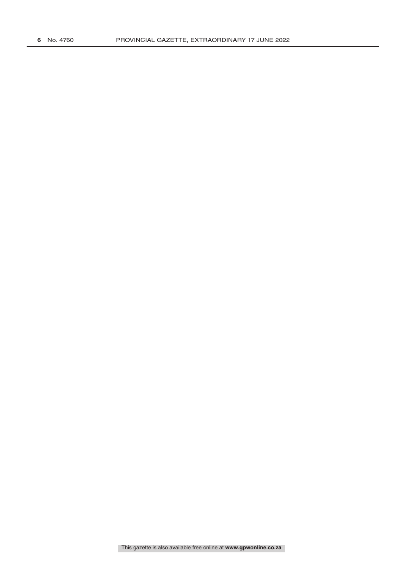This gazette is also available free online at **www.gpwonline.co.za**